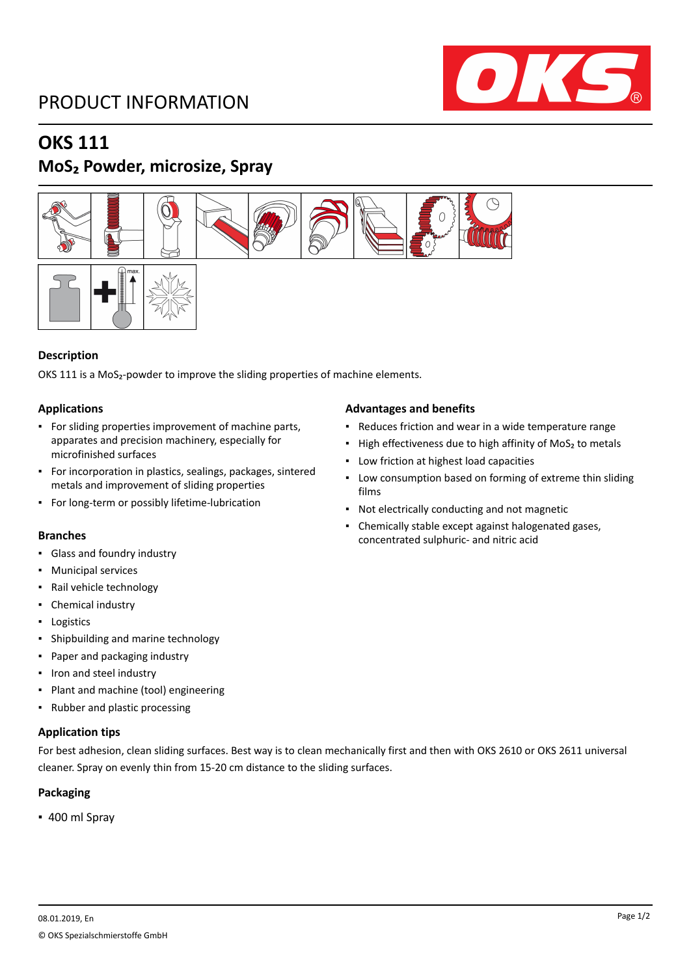## PRODUCT INFORMATION



## **OKS 111**

## **MoS₂ Powder, microsize, Spray**





OKS 111 is a MoS<sub>2</sub>-powder to improve the sliding properties of machine elements.

### **Applications**

- For sliding properties improvement of machine parts, apparates and precision machinery, especially for microfinished surfaces
- For incorporation in plastics, sealings, packages, sintered metals and improvement of sliding properties
- For long-term or possibly lifetime-lubrication

- Glass and foundry industry
- Municipal services
- Rail vehicle technology
- Chemical industry
- Logistics
- Shipbuilding and marine technology
- Paper and packaging industry
- Iron and steel industry
- Plant and machine (tool) engineering
- Rubber and plastic processing

#### **Application tips**

For best adhesion, clean sliding surfaces. Best way is to clean mechanically first and then with OKS 2610 or OKS 2611 universal cleaner. Spray on evenly thin from 15-20 cm distance to the sliding surfaces.

### **Packaging**

▪ 400 ml Spray

### **Advantages and benefits**

- Reduces friction and wear in a wide temperature range
- High effectiveness due to high affinity of MoS<sub>2</sub> to metals
- Low friction at highest load capacities
- **Low consumption based on forming of extreme thin sliding** films
- Not electrically conducting and not magnetic
- Chemically stable except against halogenated gases, concentrated sulphuric- and nitric acid **Branches**